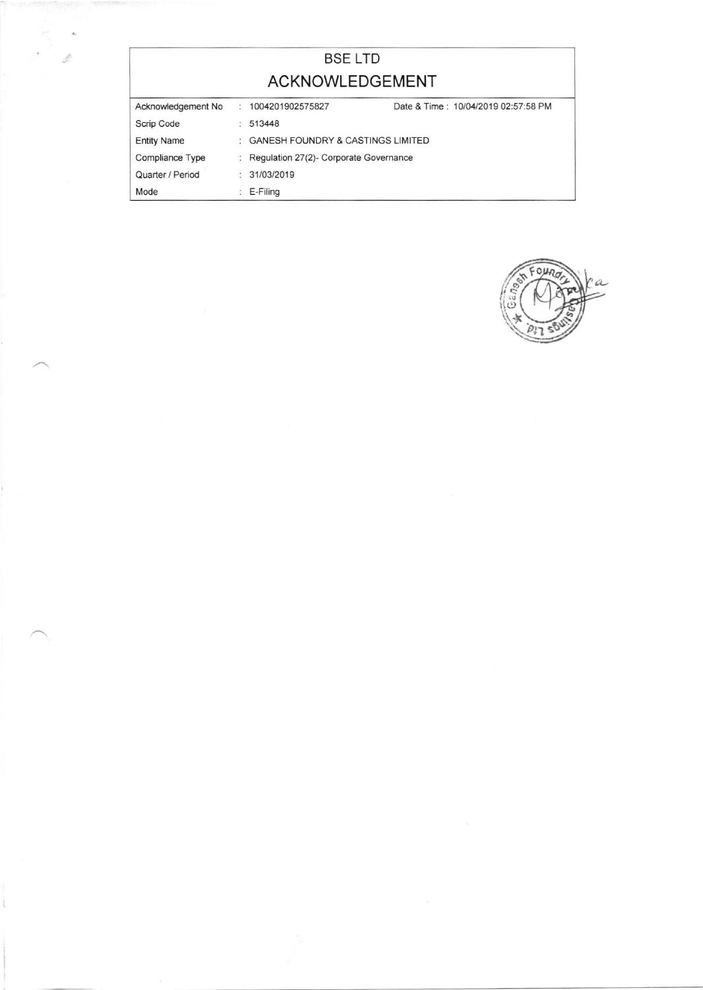## BSE LTD ACKNOWLEDGEMENT Acknowiedgernent No Scrip Code Entity Name Compliance Type Quarter / Period  $: 1004201902575827$  $: 513448$ GANESH FOUNDRY & CASTINGS LIMITED : Regulation 27(2)- Corporate Governance 31/03/2019 Date & Time: 10/04/2019 02:57:58 PM

E-Filing

Mode

I

 $\mathfrak{a}$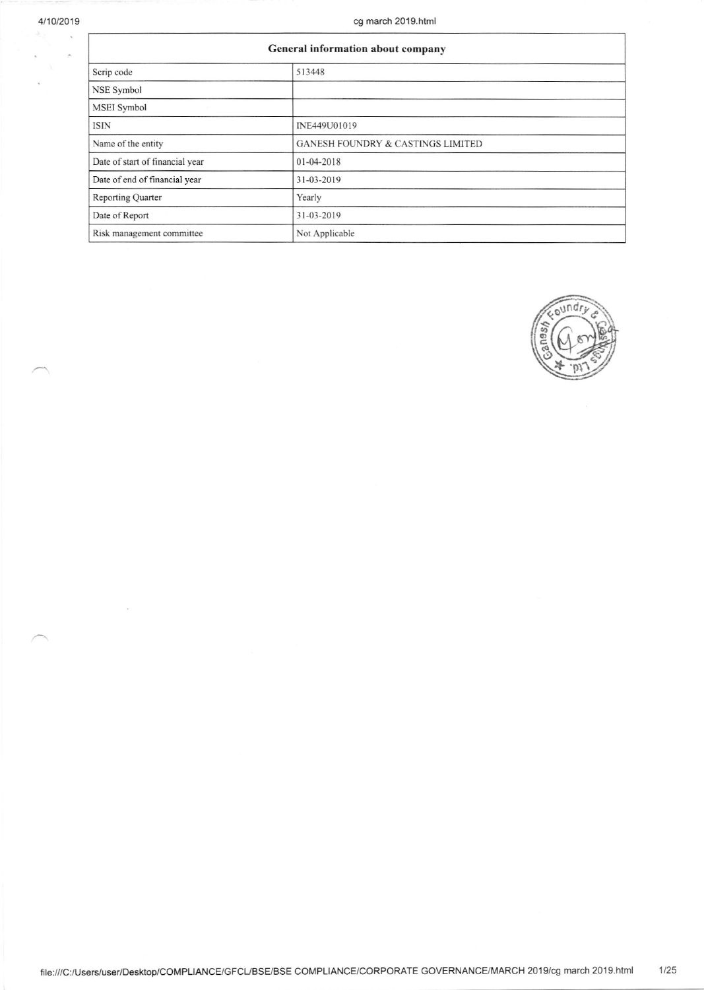$\tilde{\mathbf{x}}$ 

| General information about company |                                              |  |  |  |  |  |  |
|-----------------------------------|----------------------------------------------|--|--|--|--|--|--|
| Scrip code                        | 513448                                       |  |  |  |  |  |  |
| <b>NSE Symbol</b>                 |                                              |  |  |  |  |  |  |
| <b>MSEI</b> Symbol                |                                              |  |  |  |  |  |  |
| <b>ISIN</b>                       | INE449U01019                                 |  |  |  |  |  |  |
| Name of the entity                | <b>GANESH FOUNDRY &amp; CASTINGS LIMITED</b> |  |  |  |  |  |  |
| Date of start of financial year   | 01-04-2018                                   |  |  |  |  |  |  |
| Date of end of financial year     | 31-03-2019                                   |  |  |  |  |  |  |
| <b>Reporting Quarter</b>          | Yearly                                       |  |  |  |  |  |  |
| Date of Report                    | 31-03-2019                                   |  |  |  |  |  |  |
| Risk management committee         | Not Applicable                               |  |  |  |  |  |  |



file:///C:/Users/user/Desktop/COMPLIANCE/GFCL/BSE/BSE COMPLIANCE/CORPORATE GOVERNANCE/MARCH 2019/cg march 2019.html  $1/25$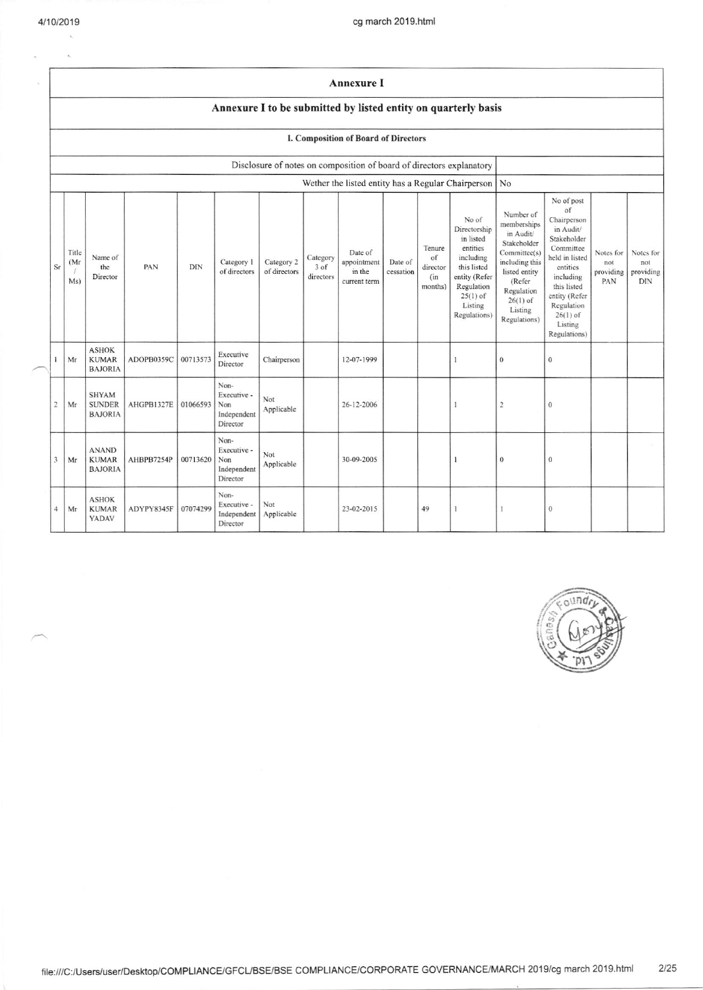$\lambda$ ÷.

|                | Annexure I<br>Annexure I to be submitted by listed entity on quarterly basis |                                                 |            |          |                                                       |                            |                               |                                                  |                      |                                             |                                                                                                                                                    |                                                                                                                                                                          |                                                                                                                                                                                                            |                                      |                                             |
|----------------|------------------------------------------------------------------------------|-------------------------------------------------|------------|----------|-------------------------------------------------------|----------------------------|-------------------------------|--------------------------------------------------|----------------------|---------------------------------------------|----------------------------------------------------------------------------------------------------------------------------------------------------|--------------------------------------------------------------------------------------------------------------------------------------------------------------------------|------------------------------------------------------------------------------------------------------------------------------------------------------------------------------------------------------------|--------------------------------------|---------------------------------------------|
|                |                                                                              |                                                 |            |          |                                                       |                            |                               |                                                  |                      |                                             |                                                                                                                                                    |                                                                                                                                                                          |                                                                                                                                                                                                            |                                      |                                             |
|                | I. Composition of Board of Directors                                         |                                                 |            |          |                                                       |                            |                               |                                                  |                      |                                             |                                                                                                                                                    |                                                                                                                                                                          |                                                                                                                                                                                                            |                                      |                                             |
|                | Disclosure of notes on composition of board of directors explanatory         |                                                 |            |          |                                                       |                            |                               |                                                  |                      |                                             |                                                                                                                                                    |                                                                                                                                                                          |                                                                                                                                                                                                            |                                      |                                             |
|                |                                                                              |                                                 |            |          |                                                       |                            |                               |                                                  |                      |                                             | Wether the listed entity has a Regular Chairperson                                                                                                 | No                                                                                                                                                                       |                                                                                                                                                                                                            |                                      |                                             |
| Sr             | Title<br>(Mr<br>Ms)                                                          | Name of<br>the<br>Director                      | PAN        | DIN      | Category 1<br>of directors                            | Category 2<br>of directors | Category<br>3 of<br>directors | Date of<br>appointment<br>in the<br>current term | Date of<br>cessation | Tenure<br>of<br>director<br>(in)<br>months) | No of<br>Directorship<br>in listed<br>entities<br>including<br>this listed<br>entity (Refer<br>Regulation<br>$25(1)$ of<br>Listing<br>Regulations) | Number of<br>memberships<br>in Audit/<br>Stakeholder<br>Committee(s)<br>including this<br>listed entity<br>(Refer<br>Regulation<br>$26(1)$ of<br>Listing<br>Regulations) | No of post<br>of<br>Chairperson<br>in Audit/<br>Stakeholder<br>Committee<br>held in listed<br>entities<br>including<br>this listed<br>entity (Refer<br>Regulation<br>$26(1)$ of<br>Listing<br>Regulations) | Notes for<br>not<br>providing<br>PAN | Notes for<br>not<br>providing<br><b>DIN</b> |
| $\mathbf{1}$   | Mr                                                                           | <b>ASHOK</b><br><b>KUMAR</b><br><b>BAJORIA</b>  | ADOPB0359C | 00713573 | Executive<br>Director                                 | Chairperson                |                               | 12-07-1999                                       |                      |                                             | 1                                                                                                                                                  | $\mathbf{0}$                                                                                                                                                             | $\mathbf{0}$                                                                                                                                                                                               |                                      |                                             |
| $\overline{2}$ | Mr                                                                           | <b>SHYAM</b><br><b>SUNDER</b><br><b>BAJORIA</b> | AHGPB1327E | 01066593 | Non-<br>Executive -<br>Non<br>Independent<br>Director | Not<br>Applicable          |                               | 26-12-2006                                       |                      |                                             | 1                                                                                                                                                  | $\sqrt{2}$                                                                                                                                                               | $\theta$                                                                                                                                                                                                   |                                      |                                             |
| 3              | Mr                                                                           | <b>ANAND</b><br><b>KUMAR</b><br><b>BAJORIA</b>  | AHBPB7254P | 00713620 | Non-<br>Executive -<br>Non<br>Independent<br>Director | Not<br>Applicable          |                               | 30-09-2005                                       |                      |                                             | 1                                                                                                                                                  | $\boldsymbol{0}$                                                                                                                                                         | $\boldsymbol{0}$                                                                                                                                                                                           |                                      |                                             |
| $\overline{4}$ | Mr                                                                           | <b>ASHOK</b><br><b>KUMAR</b><br>YADAV           | ADYPY8345F | 07074299 | Non-<br>Executive -<br>Independent<br>Director        | Not<br>Applicable          |                               | 23-02-2015                                       |                      | 49                                          | 1                                                                                                                                                  | 1                                                                                                                                                                        | $\mathbf 0$                                                                                                                                                                                                |                                      |                                             |

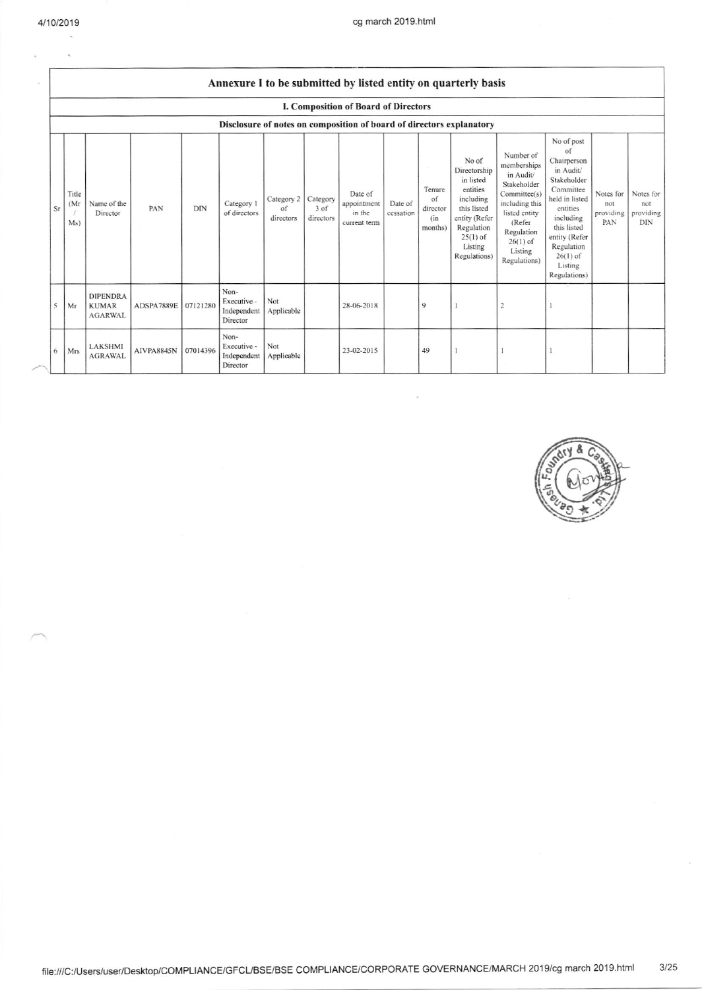|    | Annexure I to be submitted by listed entity on quarterly basis       |                                                   |            |            |                                                |                               |                               |                                                  |                      |                                             |                                                                                                                                                    |                                                                                                                                                                          |                                                                                                                                                                                                            |                                      |                                             |
|----|----------------------------------------------------------------------|---------------------------------------------------|------------|------------|------------------------------------------------|-------------------------------|-------------------------------|--------------------------------------------------|----------------------|---------------------------------------------|----------------------------------------------------------------------------------------------------------------------------------------------------|--------------------------------------------------------------------------------------------------------------------------------------------------------------------------|------------------------------------------------------------------------------------------------------------------------------------------------------------------------------------------------------------|--------------------------------------|---------------------------------------------|
|    | I. Composition of Board of Directors                                 |                                                   |            |            |                                                |                               |                               |                                                  |                      |                                             |                                                                                                                                                    |                                                                                                                                                                          |                                                                                                                                                                                                            |                                      |                                             |
|    | Disclosure of notes on composition of board of directors explanatory |                                                   |            |            |                                                |                               |                               |                                                  |                      |                                             |                                                                                                                                                    |                                                                                                                                                                          |                                                                                                                                                                                                            |                                      |                                             |
| Sr | Title<br>(Mr)<br>Ms)                                                 | Name of the<br>Director                           | PAN        | <b>DIN</b> | Category 1<br>of directors                     | Category 2<br>of<br>directors | Category<br>3 of<br>directors | Date of<br>appointment<br>in the<br>current term | Date of<br>cessation | Tenure<br>of<br>director<br>(in)<br>months) | No of<br>Directorship<br>in listed<br>entities<br>including<br>this listed<br>entity (Refer<br>Regulation<br>$25(1)$ of<br>Listing<br>Regulations) | Number of<br>memberships<br>in Audit/<br>Stakeholder<br>Committee(s)<br>including this<br>listed entity<br>(Refer<br>Regulation<br>$26(1)$ of<br>Listing<br>Regulations) | No of post<br>of<br>Chairperson<br>in Audit/<br>Stakeholder<br>Committee<br>held in listed<br>cntities<br>including<br>this listed<br>entity (Refer<br>Regulation<br>$26(1)$ of<br>Listing<br>Regulations) | Notes for<br>not<br>providing<br>PAN | Notes for<br>not<br>providing<br><b>DIN</b> |
| 5  | Mr                                                                   | <b>DIPENDRA</b><br><b>KUMAR</b><br><b>AGARWAL</b> | ADSPA7889E | 07121280   | Non-<br>Executive -<br>Independent<br>Director | Not<br>Applicable             |                               | 28-06-2018                                       |                      | 9                                           |                                                                                                                                                    | $\overline{2}$                                                                                                                                                           |                                                                                                                                                                                                            |                                      |                                             |
| 6  | Mrs                                                                  | <b>LAKSHMI</b><br><b>AGRAWAL</b>                  | AIVPA8845N | 07014396   | Non-<br>Executive -<br>Independent<br>Director | Not<br>Applicable             |                               | 23-02-2015                                       |                      | 49                                          |                                                                                                                                                    |                                                                                                                                                                          |                                                                                                                                                                                                            |                                      |                                             |

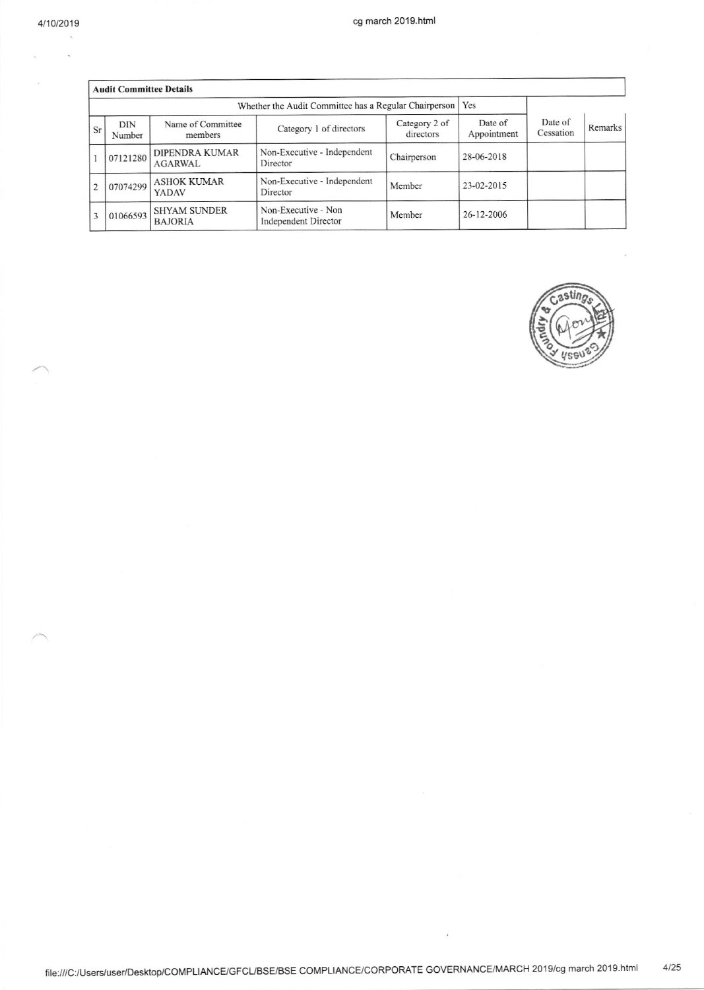$\overline{a}$ 

|                | <b>Audit Committee Details</b> |                                                       |                                                    |                            |                        |                      |         |
|----------------|--------------------------------|-------------------------------------------------------|----------------------------------------------------|----------------------------|------------------------|----------------------|---------|
|                |                                | Whether the Audit Committee has a Regular Chairperson | Yes                                                |                            |                        |                      |         |
| Sr             | <b>DIN</b><br>Number           | Name of Committee<br>members                          | Category 1 of directors                            | Category 2 of<br>directors | Date of<br>Appointment | Date of<br>Cessation | Remarks |
|                | 07121280                       | DIPENDRA KUMAR<br>AGARWAL                             | Non-Executive - Independent<br>Director            | Chairperson                | 28-06-2018             |                      |         |
| $\overline{c}$ | 07074299                       | <b>ASHOK KUMAR</b><br>YADAV                           | Non-Executive - Independent<br>Director            | Member                     | 23-02-2015             |                      |         |
| 3              | 01066593                       | <b>SHYAM SUNDER</b><br><b>BAJORIA</b>                 | Non-Executive - Non<br><b>Independent Director</b> | Member                     | 26-12-2006             |                      |         |



file:///C:/Users/user/Desktop/COMPLIANCE/GFCL/BSE/BSE COMPLIANCE/CORPORATE GOVERNANCE/MARCH 2019/cg march 2019.html  $4/25$